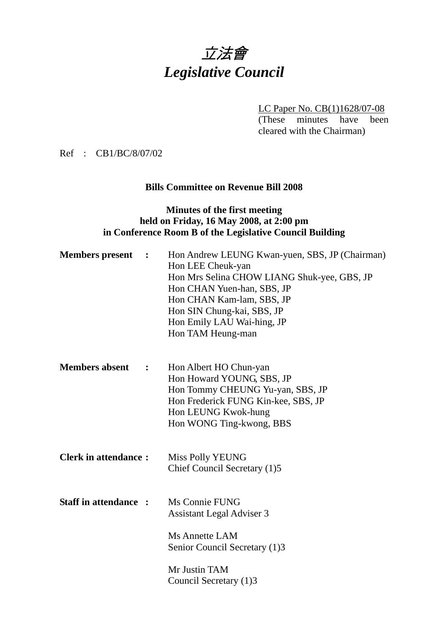# 立法會 *Legislative Council*

LC Paper No. CB(1)1628/07-08

(These minutes have been cleared with the Chairman)

Ref : CB1/BC/8/07/02

### **Bills Committee on Revenue Bill 2008**

## **Minutes of the first meeting held on Friday, 16 May 2008, at 2:00 pm in Conference Room B of the Legislative Council Building**

| <b>Members</b> present<br>$\ddot{\cdot}$ | Hon Andrew LEUNG Kwan-yuen, SBS, JP (Chairman)<br>Hon LEE Cheuk-yan<br>Hon Mrs Selina CHOW LIANG Shuk-yee, GBS, JP<br>Hon CHAN Yuen-han, SBS, JP<br>Hon CHAN Kam-lam, SBS, JP<br>Hon SIN Chung-kai, SBS, JP<br>Hon Emily LAU Wai-hing, JP<br>Hon TAM Heung-man |  |
|------------------------------------------|----------------------------------------------------------------------------------------------------------------------------------------------------------------------------------------------------------------------------------------------------------------|--|
| <b>Members absent</b><br>$\ddot{\cdot}$  | Hon Albert HO Chun-yan<br>Hon Howard YOUNG, SBS, JP<br>Hon Tommy CHEUNG Yu-yan, SBS, JP<br>Hon Frederick FUNG Kin-kee, SBS, JP<br>Hon LEUNG Kwok-hung<br>Hon WONG Ting-kwong, BBS                                                                              |  |
| <b>Clerk in attendance:</b>              | <b>Miss Polly YEUNG</b><br>Chief Council Secretary (1)5                                                                                                                                                                                                        |  |
| <b>Staff in attendance:</b>              | Ms Connie FUNG<br><b>Assistant Legal Adviser 3</b>                                                                                                                                                                                                             |  |
|                                          | Ms Annette LAM<br>Senior Council Secretary (1)3                                                                                                                                                                                                                |  |
|                                          | Mr Justin TAM<br>Council Secretary (1)3                                                                                                                                                                                                                        |  |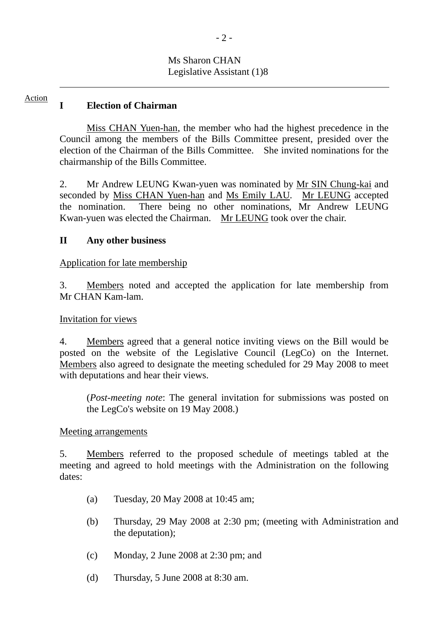# Ms Sharon CHAN Legislative Assistant (1)8

#### **I Election of Chairman**  Action

 $\overline{\phantom{a}}$ 

 Miss CHAN Yuen-han, the member who had the highest precedence in the Council among the members of the Bills Committee present, presided over the election of the Chairman of the Bills Committee. She invited nominations for the chairmanship of the Bills Committee.

2. Mr Andrew LEUNG Kwan-yuen was nominated by Mr SIN Chung-kai and seconded by Miss CHAN Yuen-han and Ms Emily LAU. Mr LEUNG accepted the nomination. There being no other nominations, Mr Andrew LEUNG Kwan-yuen was elected the Chairman. Mr LEUNG took over the chair.

### **II Any other business**

#### Application for late membership

3. Members noted and accepted the application for late membership from Mr CHAN Kam-lam.

#### Invitation for views

4. Members agreed that a general notice inviting views on the Bill would be posted on the website of the Legislative Council (LegCo) on the Internet. Members also agreed to designate the meeting scheduled for 29 May 2008 to meet with deputations and hear their views.

(*Post-meeting note*: The general invitation for submissions was posted on the LegCo's website on 19 May 2008.)

#### Meeting arrangements

5. Members referred to the proposed schedule of meetings tabled at the meeting and agreed to hold meetings with the Administration on the following dates:

- (a) Tuesday, 20 May 2008 at 10:45 am;
- (b) Thursday, 29 May 2008 at 2:30 pm; (meeting with Administration and the deputation);
- (c) Monday, 2 June 2008 at 2:30 pm; and
- (d) Thursday, 5 June 2008 at 8:30 am.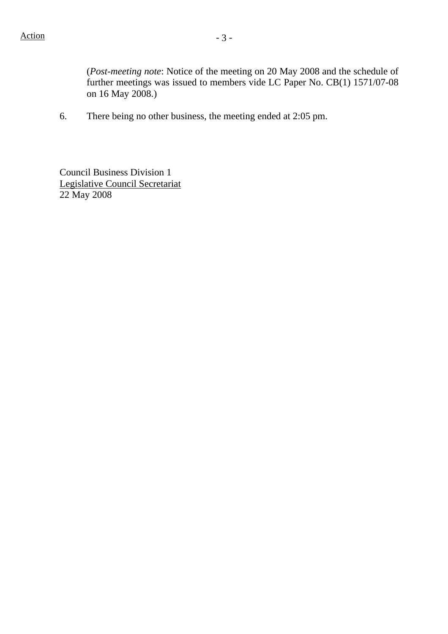(*Post-meeting note*: Notice of the meeting on 20 May 2008 and the schedule of further meetings was issued to members vide LC Paper No. CB(1) 1571/07-08 on 16 May 2008.)

6. There being no other business, the meeting ended at 2:05 pm.

Council Business Division 1 Legislative Council Secretariat 22 May 2008